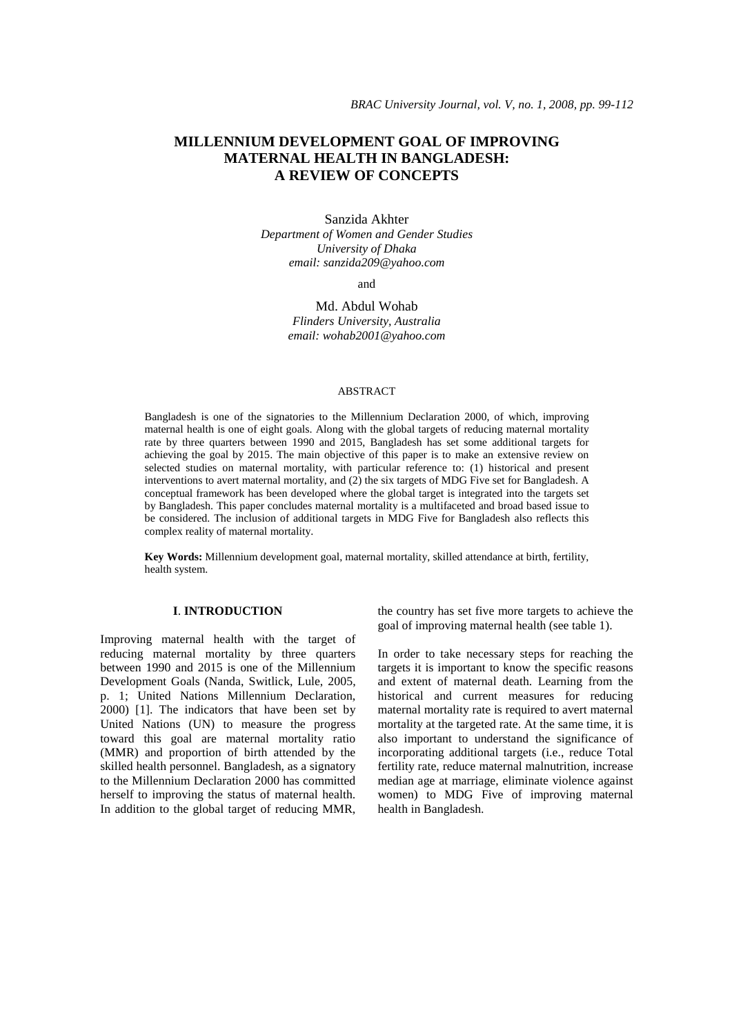# **MILLENNIUM DEVELOPMENT GOAL OF IMPROVING MATERNAL HEALTH IN BANGLADESH: A REVIEW OF CONCEPTS**

#### Sanzida Akhter

*Department of Women and Gender Studies University of Dhaka email: sanzida209@yahoo.com*

and

Md. Abdul Wohab *Flinders University, Australia email: wohab2001@yahoo.com*

#### ABSTRACT

Bangladesh is one of the signatories to the Millennium Declaration 2000, of which, improving maternal health is one of eight goals. Along with the global targets of reducing maternal mortality rate by three quarters between 1990 and 2015, Bangladesh has set some additional targets for achieving the goal by 2015. The main objective of this paper is to make an extensive review on selected studies on maternal mortality, with particular reference to: (1) historical and present interventions to avert maternal mortality, and (2) the six targets of MDG Five set for Bangladesh. A conceptual framework has been developed where the global target is integrated into the targets set by Bangladesh. This paper concludes maternal mortality is a multifaceted and broad based issue to be considered. The inclusion of additional targets in MDG Five for Bangladesh also reflects this complex reality of maternal mortality.

**Key Words:** Millennium development goal, maternal mortality, skilled attendance at birth, fertility, health system.

#### **I**. **INTRODUCTION**

Improving maternal health with the target of reducing maternal mortality by three quarters between 1990 and 2015 is one of the Millennium Development Goals (Nanda, Switlick, Lule, 2005, p. 1; United Nations Millennium Declaration, 2000) [1]. The indicators that have been set by United Nations (UN) to measure the progress toward this goal are maternal mortality ratio (MMR) and proportion of birth attended by the skilled health personnel. Bangladesh, as a signatory to the Millennium Declaration 2000 has committed herself to improving the status of maternal health. In addition to the global target of reducing MMR, the country has set five more targets to achieve the goal of improving maternal health (see table 1).

In order to take necessary steps for reaching the targets it is important to know the specific reasons and extent of maternal death. Learning from the historical and current measures for reducing maternal mortality rate is required to avert maternal mortality at the targeted rate. At the same time, it is also important to understand the significance of incorporating additional targets (i.e., reduce Total fertility rate, reduce maternal malnutrition, increase median age at marriage, eliminate violence against women) to MDG Five of improving maternal health in Bangladesh.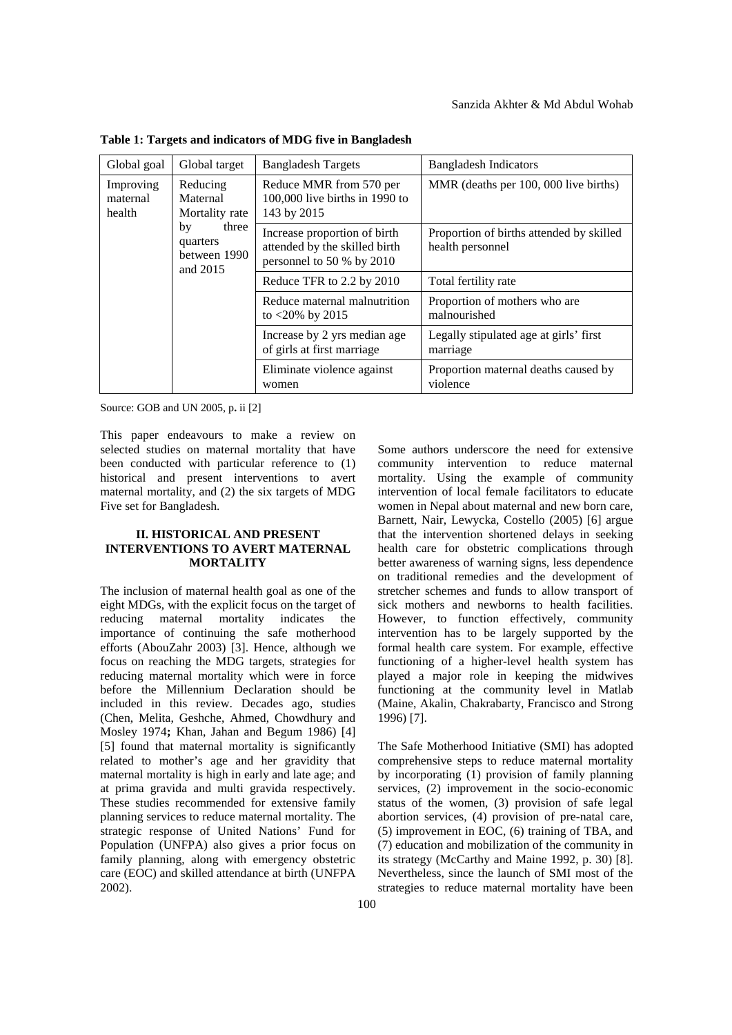| Global goal                     | Global target                                                                                 | <b>Bangladesh Targets</b>                                                                  | <b>Bangladesh Indicators</b>                                 |
|---------------------------------|-----------------------------------------------------------------------------------------------|--------------------------------------------------------------------------------------------|--------------------------------------------------------------|
| Improving<br>maternal<br>health | Reducing<br>Maternal<br>Mortality rate<br>three<br>by<br>quarters<br>between 1990<br>and 2015 | Reduce MMR from 570 per<br>100,000 live births in 1990 to<br>143 by 2015                   | MMR (deaths per 100, 000 live births)                        |
|                                 |                                                                                               | Increase proportion of birth<br>attended by the skilled birth<br>personnel to 50 % by 2010 | Proportion of births attended by skilled<br>health personnel |
|                                 |                                                                                               | Reduce TFR to 2.2 by 2010                                                                  | Total fertility rate                                         |
|                                 |                                                                                               | Reduce maternal malnutrition<br>to $< 20\%$ by 2015                                        | Proportion of mothers who are<br>malnourished                |
|                                 |                                                                                               | Increase by 2 yrs median age<br>of girls at first marriage                                 | Legally stipulated age at girls' first<br>marriage           |
|                                 |                                                                                               | Eliminate violence against<br>women                                                        | Proportion maternal deaths caused by<br>violence             |

**Table 1: Targets and indicators of MDG five in Bangladesh**

Source: GOB and UN 2005, p**.** ii [2]

This paper endeavours to make a review on selected studies on maternal mortality that have been conducted with particular reference to (1) historical and present interventions to avert maternal mortality, and (2) the six targets of MDG Five set for Bangladesh.

### **II. HISTORICAL AND PRESENT INTERVENTIONS TO AVERT MATERNAL MORTALITY**

The inclusion of maternal health goal as one of the eight MDGs, with the explicit focus on the target of reducing maternal mortality indicates the importance of continuing the safe motherhood efforts (AbouZahr 2003) [3]. Hence, although we focus on reaching the MDG targets, strategies for reducing maternal mortality which were in force before the Millennium Declaration should be included in this review. Decades ago, studies (Chen, Melita, Geshche, Ahmed, Chowdhury and Mosley 1974**;** Khan, Jahan and Begum 1986) [4] [5] found that maternal mortality is significantly related to mother's age and her gravidity that maternal mortality is high in early and late age; and at prima gravida and multi gravida respectively. These studies recommended for extensive family planning services to reduce maternal mortality. The strategic response of United Nations' Fund for Population (UNFPA) also gives a prior focus on family planning, along with emergency obstetric care (EOC) and skilled attendance at birth (UNFPA 2002).

Some authors underscore the need for extensive community intervention to reduce maternal mortality. Using the example of community intervention of local female facilitators to educate women in Nepal about maternal and new born care, Barnett, Nair, Lewycka, Costello (2005) [6] argue that the intervention shortened delays in seeking health care for obstetric complications through better awareness of warning signs, less dependence on traditional remedies and the development of stretcher schemes and funds to allow transport of sick mothers and newborns to health facilities. However, to function effectively, community intervention has to be largely supported by the formal health care system. For example, effective functioning of a higher-level health system has played a major role in keeping the midwives functioning at the community level in Matlab (Maine, Akalin, Chakrabarty, Francisco and Strong 1996) [7].

The Safe Motherhood Initiative (SMI) has adopted comprehensive steps to reduce maternal mortality by incorporating (1) provision of family planning services, (2) improvement in the socio-economic status of the women, (3) provision of safe legal abortion services, (4) provision of pre-natal care, (5) improvement in EOC, (6) training of TBA, and (7) education and mobilization of the community in its strategy (McCarthy and Maine 1992, p. 30) [8]. Nevertheless, since the launch of SMI most of the strategies to reduce maternal mortality have been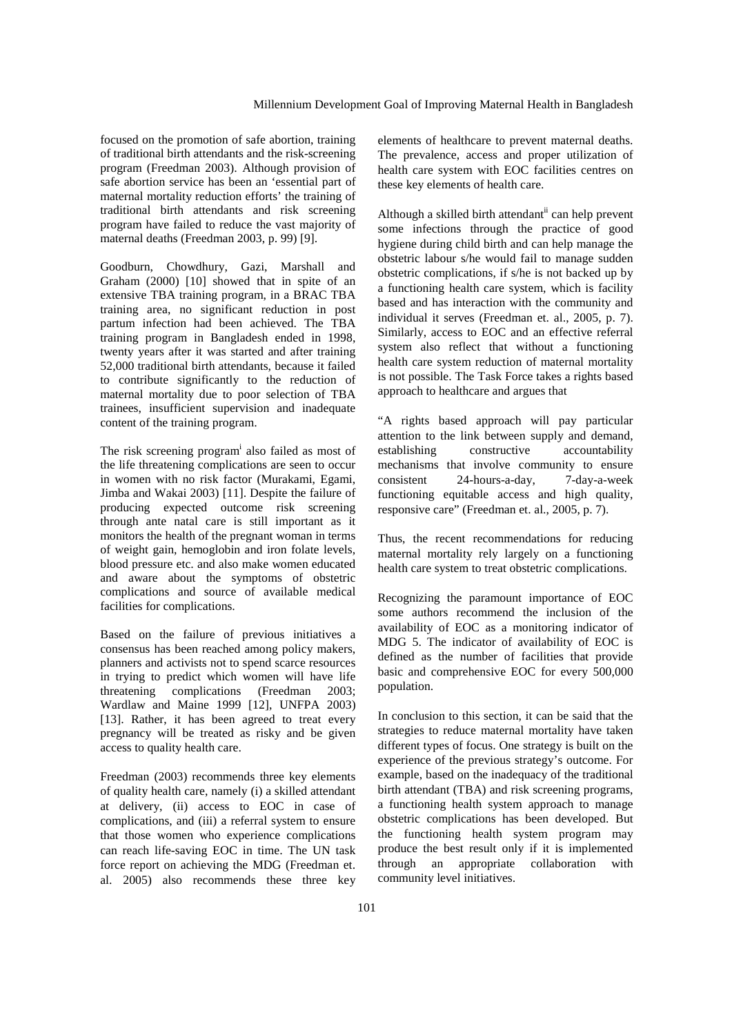focused on the promotion of safe abortion, training of traditional birth attendants and the risk-screening program (Freedman 2003). Although provision of safe abortion service has been an 'essential part of maternal mortality reduction efforts' the training of traditional birth attendants and risk screening program have failed to reduce the vast majority of maternal deaths (Freedman 2003, p. 99) [9].

Goodburn, Chowdhury, Gazi, Marshall and Graham (2000) [10] showed that in spite of an extensive TBA training program, in a BRAC TBA training area, no significant reduction in post partum infection had been achieved. The TBA training program in Bangladesh ended in 1998, twenty years after it was started and after training 52,000 traditional birth attendants, because it failed to contribute significantly to the reduction of maternal mortality due to poor selection of TBA trainees, insufficient supervision and inadequate content of the training program.

The risk screening program<sup>i</sup> also failed as most of the life threatening complications are seen to occur in women with no risk factor (Murakami, Egami, Jimba and Wakai 2003) [11]. Despite the failure of producing expected outcome risk screening through ante natal care is still important as it monitors the health of the pregnant woman in terms of weight gain, hemoglobin and iron folate levels, blood pressure etc. and also make women educated and aware about the symptoms of obstetric complications and source of available medical facilities for complications.

Based on the failure of previous initiatives a consensus has been reached among policy makers, planners and activists not to spend scarce resources in trying to predict which women will have life threatening complications (Freedman 2003; Wardlaw and Maine 1999 [12], UNFPA 2003) [13]. Rather, it has been agreed to treat every pregnancy will be treated as risky and be given access to quality health care.

Freedman (2003) recommends three key elements of quality health care, namely (i) a skilled attendant at delivery, (ii) access to EOC in case of complications, and (iii) a referral system to ensure that those women who experience complications can reach life-saving EOC in time. The UN task force report on achieving the MDG (Freedman et. al. 2005) also recommends these three key elements of healthcare to prevent maternal deaths. The prevalence, access and proper utilization of health care system with EOC facilities centres on these key elements of health care.

Although a skilled birth attendant<sup>ii</sup> can help prevent some infections through the practice of good hygiene during child birth and can help manage the obstetric labour s/he would fail to manage sudden obstetric complications, if s/he is not backed up by a functioning health care system, which is facility based and has interaction with the community and individual it serves (Freedman et. al., 2005, p. 7). Similarly, access to EOC and an effective referral system also reflect that without a functioning health care system reduction of maternal mortality is not possible. The Task Force takes a rights based approach to healthcare and argues that

"A rights based approach will pay particular attention to the link between supply and demand, establishing constructive accountability mechanisms that involve community to ensure consistent 24-hours-a-day, 7-day-a-week functioning equitable access and high quality, responsive care" (Freedman et. al., 2005, p. 7).

Thus, the recent recommendations for reducing maternal mortality rely largely on a functioning health care system to treat obstetric complications.

Recognizing the paramount importance of EOC some authors recommend the inclusion of the availability of EOC as a monitoring indicator of MDG 5. The indicator of availability of EOC is defined as the number of facilities that provide basic and comprehensive EOC for every 500,000 population.

In conclusion to this section, it can be said that the strategies to reduce maternal mortality have taken different types of focus. One strategy is built on the experience of the previous strategy's outcome. For example, based on the inadequacy of the traditional birth attendant (TBA) and risk screening programs, a functioning health system approach to manage obstetric complications has been developed. But the functioning health system program may produce the best result only if it is implemented through an appropriate collaboration with community level initiatives.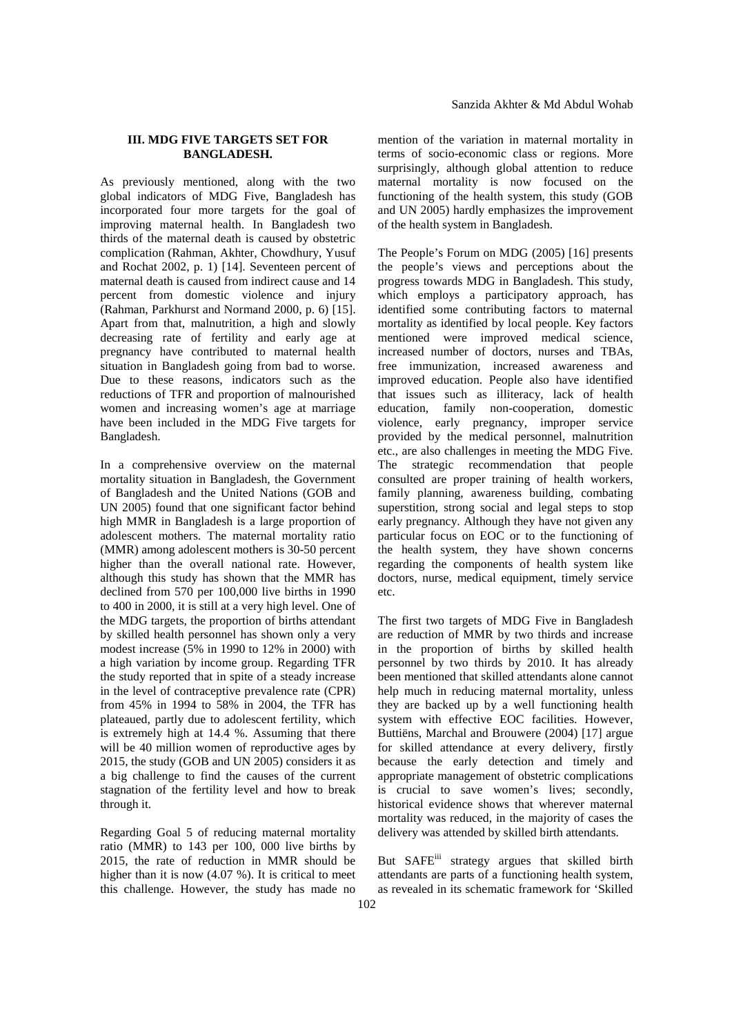### **III. MDG FIVE TARGETS SET FOR BANGLADESH.**

As previously mentioned, along with the two global indicators of MDG Five, Bangladesh has incorporated four more targets for the goal of improving maternal health. In Bangladesh two thirds of the maternal death is caused by obstetric complication (Rahman, Akhter, Chowdhury, Yusuf and Rochat 2002, p. 1) [14]. Seventeen percent of maternal death is caused from indirect cause and 14 percent from domestic violence and injury (Rahman, Parkhurst and Normand 2000, p. 6) [15]. Apart from that, malnutrition, a high and slowly decreasing rate of fertility and early age at pregnancy have contributed to maternal health situation in Bangladesh going from bad to worse. Due to these reasons, indicators such as the reductions of TFR and proportion of malnourished women and increasing women's age at marriage have been included in the MDG Five targets for Bangladesh.

In a comprehensive overview on the maternal mortality situation in Bangladesh, the Government of Bangladesh and the United Nations (GOB and UN 2005) found that one significant factor behind high MMR in Bangladesh is a large proportion of adolescent mothers. The maternal mortality ratio (MMR) among adolescent mothers is 30-50 percent higher than the overall national rate. However, although this study has shown that the MMR has declined from 570 per 100,000 live births in 1990 to 400 in 2000, it is still at a very high level. One of the MDG targets, the proportion of births attendant by skilled health personnel has shown only a very modest increase (5% in 1990 to 12% in 2000) with a high variation by income group. Regarding TFR the study reported that in spite of a steady increase in the level of contraceptive prevalence rate (CPR) from 45% in 1994 to 58% in 2004, the TFR has plateaued, partly due to adolescent fertility, which is extremely high at 14.4 %. Assuming that there will be 40 million women of reproductive ages by 2015, the study (GOB and UN 2005) considers it as a big challenge to find the causes of the current stagnation of the fertility level and how to break through it.

Regarding Goal 5 of reducing maternal mortality ratio (MMR) to 143 per 100, 000 live births by 2015, the rate of reduction in MMR should be higher than it is now  $(4.07 \%)$ . It is critical to meet this challenge. However, the study has made no

mention of the variation in maternal mortality in terms of socio-economic class or regions. More surprisingly, although global attention to reduce maternal mortality is now focused on the functioning of the health system, this study (GOB and UN 2005) hardly emphasizes the improvement of the health system in Bangladesh.

The People's Forum on MDG (2005) [16] presents the people's views and perceptions about the progress towards MDG in Bangladesh. This study, which employs a participatory approach, has identified some contributing factors to maternal mortality as identified by local people. Key factors mentioned were improved medical science, increased number of doctors, nurses and TBAs, free immunization, increased awareness and improved education. People also have identified that issues such as illiteracy, lack of health education, family non-cooperation, domestic violence, early pregnancy, improper service provided by the medical personnel, malnutrition etc., are also challenges in meeting the MDG Five. The strategic recommendation that people consulted are proper training of health workers, family planning, awareness building, combating superstition, strong social and legal steps to stop early pregnancy. Although they have not given any particular focus on EOC or to the functioning of the health system, they have shown concerns regarding the components of health system like doctors, nurse, medical equipment, timely service etc.

The first two targets of MDG Five in Bangladesh are reduction of MMR by two thirds and increase in the proportion of births by skilled health personnel by two thirds by 2010. It has already been mentioned that skilled attendants alone cannot help much in reducing maternal mortality, unless they are backed up by a well functioning health system with effective EOC facilities. However, Buttiëns, Marchal and Brouwere (2004) [17] argue for skilled attendance at every delivery, firstly because the early detection and timely and appropriate management of obstetric complications is crucial to save women's lives; secondly, historical evidence shows that wherever maternal mortality was reduced, in the majority of cases the delivery was attended by skilled birth attendants.

But SAFE<sup>iii</sup> strategy argues that skilled birth attendants are parts of a functioning health system, as revealed in its schematic framework for 'Skilled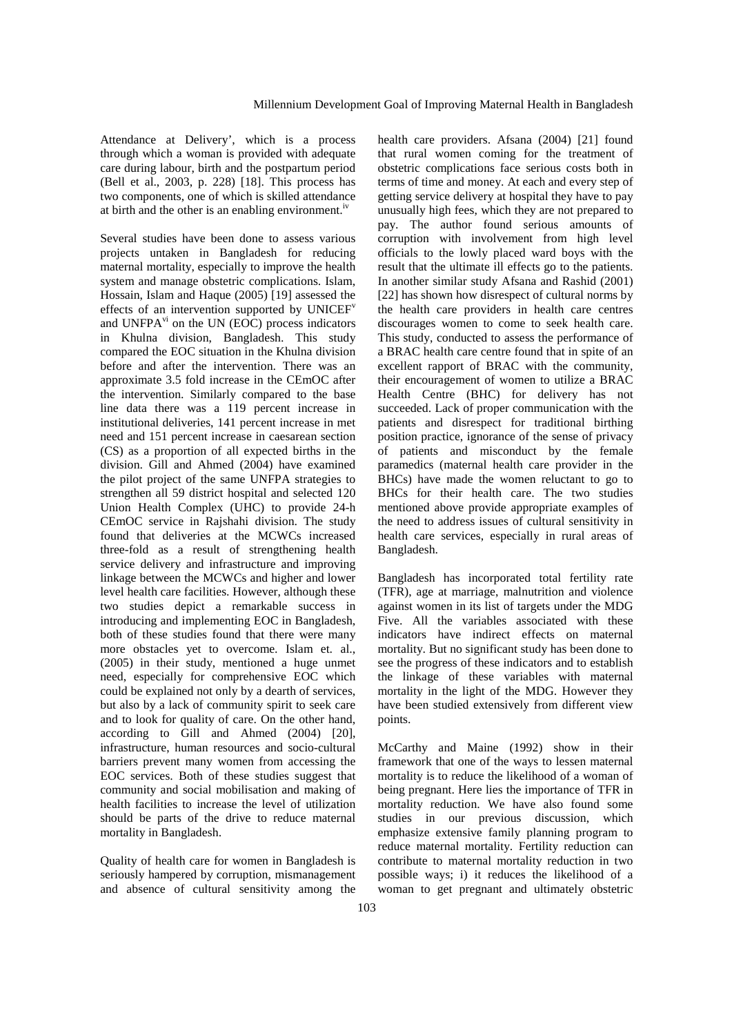Attendance at Delivery', which is a process through which a woman is provided with adequate care during labour, birth and the postpartum period (Bell et al., 2003, p. 228) [18]. This process has two components, one of which is skilled attendance at birth and the other is an enabling environment.<sup>iv</sup>

Several studies have been done to assess various projects untaken in Bangladesh for reducing maternal mortality, especially to improve the health system and manage obstetric complications. Islam, Hossain, Islam and Haque (2005) [19] assessed the effects of an intervention supported by UNICEF<sup>v</sup> and UNFP $A^{vi}$  on the UN (EOC) process indicators in Khulna division, Bangladesh. This study compared the EOC situation in the Khulna division before and after the intervention. There was an approximate 3.5 fold increase in the CEmOC after the intervention. Similarly compared to the base line data there was a 119 percent increase in institutional deliveries, 141 percent increase in met need and 151 percent increase in caesarean section (CS) as a proportion of all expected births in the division. Gill and Ahmed (2004) have examined the pilot project of the same UNFPA strategies to strengthen all 59 district hospital and selected 120 Union Health Complex (UHC) to provide 24-h CEmOC service in Rajshahi division. The study found that deliveries at the MCWCs increased three-fold as a result of strengthening health service delivery and infrastructure and improving linkage between the MCWCs and higher and lower level health care facilities. However, although these two studies depict a remarkable success in introducing and implementing EOC in Bangladesh, both of these studies found that there were many more obstacles yet to overcome. Islam et. al., (2005) in their study, mentioned a huge unmet need, especially for comprehensive EOC which could be explained not only by a dearth of services, but also by a lack of community spirit to seek care and to look for quality of care. On the other hand, according to Gill and Ahmed (2004) [20], infrastructure, human resources and socio-cultural barriers prevent many women from accessing the EOC services. Both of these studies suggest that community and social mobilisation and making of health facilities to increase the level of utilization should be parts of the drive to reduce maternal mortality in Bangladesh.

Quality of health care for women in Bangladesh is seriously hampered by corruption, mismanagement and absence of cultural sensitivity among the

health care providers. Afsana (2004) [21] found that rural women coming for the treatment of obstetric complications face serious costs both in terms of time and money. At each and every step of getting service delivery at hospital they have to pay unusually high fees, which they are not prepared to pay. The author found serious amounts of corruption with involvement from high level officials to the lowly placed ward boys with the result that the ultimate ill effects go to the patients. In another similar study Afsana and Rashid (2001) [22] has shown how disrespect of cultural norms by the health care providers in health care centres discourages women to come to seek health care. This study, conducted to assess the performance of a BRAC health care centre found that in spite of an excellent rapport of BRAC with the community, their encouragement of women to utilize a BRAC Health Centre (BHC) for delivery has not succeeded. Lack of proper communication with the patients and disrespect for traditional birthing position practice, ignorance of the sense of privacy of patients and misconduct by the female paramedics (maternal health care provider in the BHCs) have made the women reluctant to go to BHCs for their health care. The two studies mentioned above provide appropriate examples of the need to address issues of cultural sensitivity in health care services, especially in rural areas of Bangladesh.

Bangladesh has incorporated total fertility rate (TFR), age at marriage, malnutrition and violence against women in its list of targets under the MDG Five. All the variables associated with these indicators have indirect effects on maternal mortality. But no significant study has been done to see the progress of these indicators and to establish the linkage of these variables with maternal mortality in the light of the MDG. However they have been studied extensively from different view points.

McCarthy and Maine (1992) show in their framework that one of the ways to lessen maternal mortality is to reduce the likelihood of a woman of being pregnant. Here lies the importance of TFR in mortality reduction. We have also found some studies in our previous discussion, which emphasize extensive family planning program to reduce maternal mortality. Fertility reduction can contribute to maternal mortality reduction in two possible ways; i) it reduces the likelihood of a woman to get pregnant and ultimately obstetric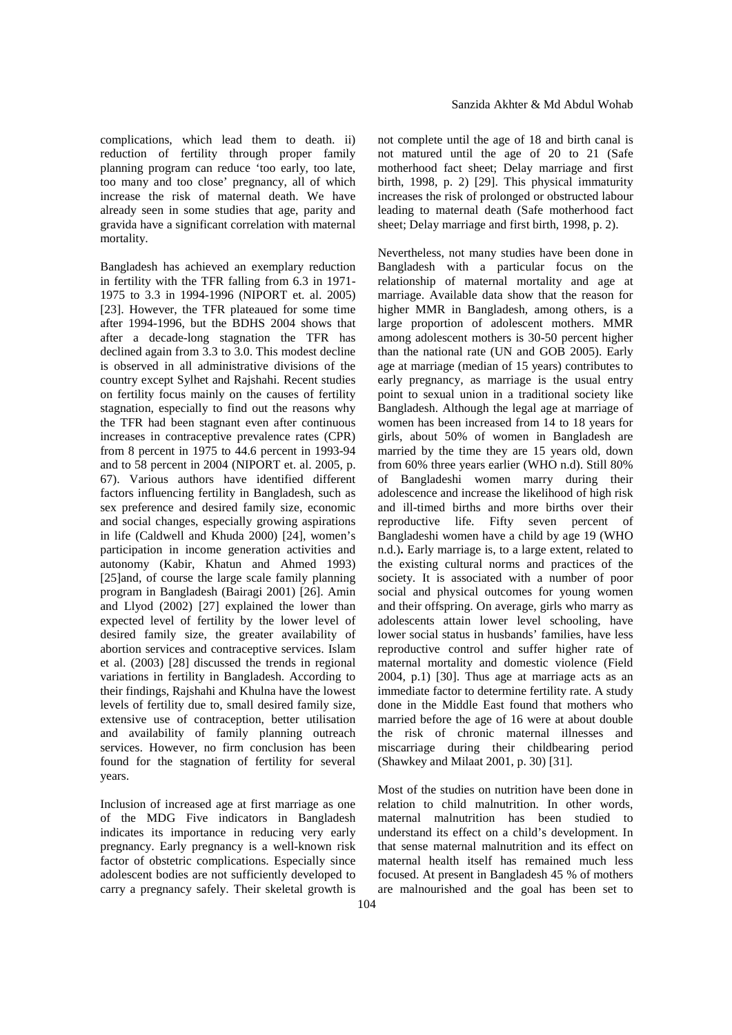complications, which lead them to death. ii) reduction of fertility through proper family planning program can reduce 'too early, too late, too many and too close' pregnancy, all of which increase the risk of maternal death. We have already seen in some studies that age, parity and gravida have a significant correlation with maternal mortality.

Bangladesh has achieved an exemplary reduction in fertility with the TFR falling from 6.3 in 1971- 1975 to 3.3 in 1994-1996 (NIPORT et. al. 2005) [23]. However, the TFR plateaued for some time after 1994-1996, but the BDHS 2004 shows that after a decade-long stagnation the TFR has declined again from 3.3 to 3.0. This modest decline is observed in all administrative divisions of the country except Sylhet and Rajshahi. Recent studies on fertility focus mainly on the causes of fertility stagnation, especially to find out the reasons why the TFR had been stagnant even after continuous increases in contraceptive prevalence rates (CPR) from 8 percent in 1975 to 44.6 percent in 1993-94 and to 58 percent in 2004 (NIPORT et. al. 2005, p. 67). Various authors have identified different factors influencing fertility in Bangladesh, such as sex preference and desired family size, economic and social changes, especially growing aspirations in life (Caldwell and Khuda 2000) [24], women's participation in income generation activities and autonomy (Kabir, Khatun and Ahmed 1993) [25]and, of course the large scale family planning program in Bangladesh (Bairagi 2001) [26]. Amin and Llyod (2002) [27] explained the lower than expected level of fertility by the lower level of desired family size, the greater availability of abortion services and contraceptive services. Islam et al. (2003) [28] discussed the trends in regional variations in fertility in Bangladesh. According to their findings, Rajshahi and Khulna have the lowest levels of fertility due to, small desired family size, extensive use of contraception, better utilisation and availability of family planning outreach services. However, no firm conclusion has been found for the stagnation of fertility for several years.

Inclusion of increased age at first marriage as one of the MDG Five indicators in Bangladesh indicates its importance in reducing very early pregnancy. Early pregnancy is a well-known risk factor of obstetric complications. Especially since adolescent bodies are not sufficiently developed to carry a pregnancy safely. Their skeletal growth is

not complete until the age of 18 and birth canal is not matured until the age of 20 to 21 (Safe motherhood fact sheet; Delay marriage and first birth, 1998, p. 2) [29]. This physical immaturity increases the risk of prolonged or obstructed labour leading to maternal death (Safe motherhood fact sheet; Delay marriage and first birth, 1998, p. 2).

Nevertheless, not many studies have been done in Bangladesh with a particular focus on the relationship of maternal mortality and age at marriage. Available data show that the reason for higher MMR in Bangladesh, among others, is a large proportion of adolescent mothers. MMR among adolescent mothers is 30-50 percent higher than the national rate (UN and GOB 2005). Early age at marriage (median of 15 years) contributes to early pregnancy, as marriage is the usual entry point to sexual union in a traditional society like Bangladesh. Although the legal age at marriage of women has been increased from 14 to 18 years for girls, about 50% of women in Bangladesh are married by the time they are 15 years old, down from 60% three years earlier (WHO n.d). Still 80% of Bangladeshi women marry during their adolescence and increase the likelihood of high risk and ill-timed births and more births over their reproductive life. Fifty seven percent of Bangladeshi women have a child by age 19 (WHO n.d.)**.** Early marriage is, to a large extent, related to the existing cultural norms and practices of the society. It is associated with a number of poor social and physical outcomes for young women and their offspring. On average, girls who marry as adolescents attain lower level schooling, have lower social status in husbands' families, have less reproductive control and suffer higher rate of maternal mortality and domestic violence (Field 2004, p.1) [30]. Thus age at marriage acts as an immediate factor to determine fertility rate. A study done in the Middle East found that mothers who married before the age of 16 were at about double the risk of chronic maternal illnesses and miscarriage during their childbearing period (Shawkey and Milaat 2001, p. 30) [31].

Most of the studies on nutrition have been done in relation to child malnutrition. In other words, maternal malnutrition has been studied to understand its effect on a child's development. In that sense maternal malnutrition and its effect on maternal health itself has remained much less focused. At present in Bangladesh 45 % of mothers are malnourished and the goal has been set to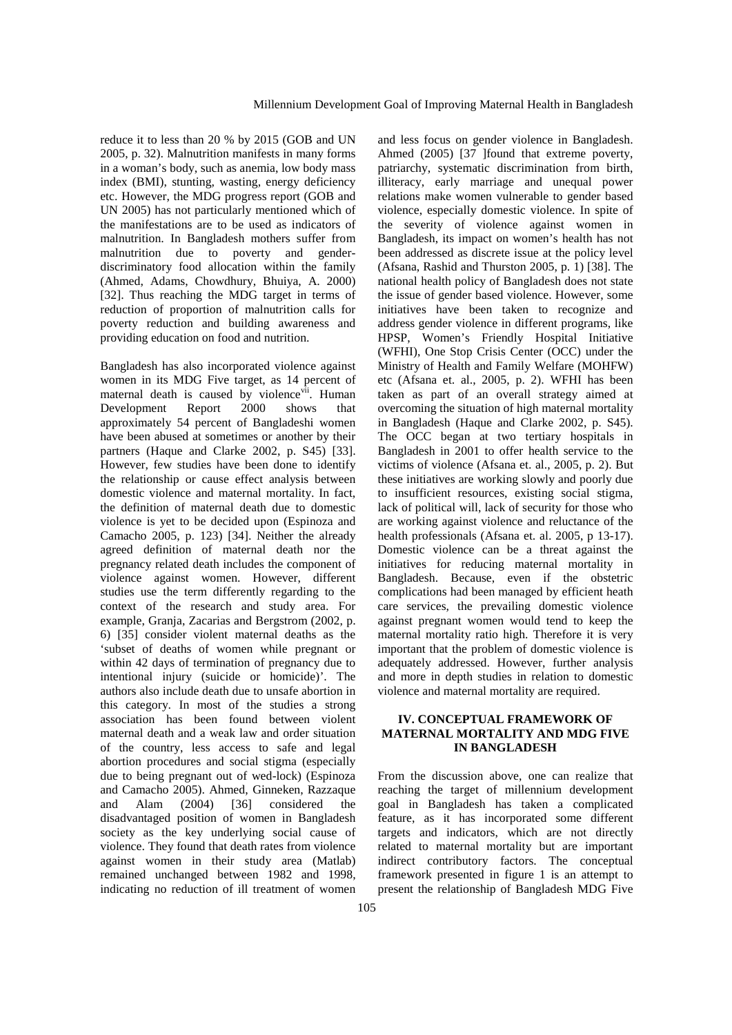reduce it to less than 20 % by 2015 (GOB and UN 2005, p. 32). Malnutrition manifests in many forms in a woman's body, such as anemia, low body mass index (BMI), stunting, wasting, energy deficiency etc. However, the MDG progress report (GOB and UN 2005) has not particularly mentioned which of the manifestations are to be used as indicators of malnutrition. In Bangladesh mothers suffer from malnutrition due to poverty and genderdiscriminatory food allocation within the family (Ahmed, Adams, Chowdhury, Bhuiya, A. 2000) [32]. Thus reaching the MDG target in terms of reduction of proportion of malnutrition calls for poverty reduction and building awareness and providing education on food and nutrition.

Bangladesh has also incorporated violence against women in its MDG Five target, as 14 percent of maternal death is caused by violence<sup>vii</sup>. Human Development Report 2000 shows that approximately 54 percent of Bangladeshi women have been abused at sometimes or another by their partners (Haque and Clarke 2002, p. S45) [33]. However, few studies have been done to identify the relationship or cause effect analysis between domestic violence and maternal mortality. In fact, the definition of maternal death due to domestic violence is yet to be decided upon (Espinoza and Camacho 2005, p. 123) [34]. Neither the already agreed definition of maternal death nor the pregnancy related death includes the component of violence against women. However, different studies use the term differently regarding to the context of the research and study area. For example, Granja, Zacarias and Bergstrom (2002, p. 6) [35] consider violent maternal deaths as the 'subset of deaths of women while pregnant or within 42 days of termination of pregnancy due to intentional injury (suicide or homicide)'. The authors also include death due to unsafe abortion in this category. In most of the studies a strong association has been found between violent maternal death and a weak law and order situation of the country, less access to safe and legal abortion procedures and social stigma (especially due to being pregnant out of wed-lock) (Espinoza and Camacho 2005). Ahmed, Ginneken, Razzaque and Alam (2004) [36] considered the disadvantaged position of women in Bangladesh society as the key underlying social cause of violence. They found that death rates from violence against women in their study area (Matlab) remained unchanged between 1982 and 1998, indicating no reduction of ill treatment of women

and less focus on gender violence in Bangladesh. Ahmed (2005) [37 ]found that extreme poverty, patriarchy, systematic discrimination from birth, illiteracy, early marriage and unequal power relations make women vulnerable to gender based violence, especially domestic violence. In spite of the severity of violence against women in Bangladesh, its impact on women's health has not been addressed as discrete issue at the policy level (Afsana, Rashid and Thurston 2005, p. 1) [38]. The national health policy of Bangladesh does not state the issue of gender based violence. However, some initiatives have been taken to recognize and address gender violence in different programs, like HPSP, Women's Friendly Hospital Initiative (WFHI), One Stop Crisis Center (OCC) under the Ministry of Health and Family Welfare (MOHFW) etc (Afsana et. al., 2005, p. 2). WFHI has been taken as part of an overall strategy aimed at overcoming the situation of high maternal mortality in Bangladesh (Haque and Clarke 2002, p. S45). The OCC began at two tertiary hospitals in Bangladesh in 2001 to offer health service to the victims of violence (Afsana et. al., 2005, p. 2). But these initiatives are working slowly and poorly due to insufficient resources, existing social stigma, lack of political will, lack of security for those who are working against violence and reluctance of the health professionals (Afsana et. al. 2005, p 13-17). Domestic violence can be a threat against the initiatives for reducing maternal mortality in Bangladesh. Because, even if the obstetric complications had been managed by efficient heath care services, the prevailing domestic violence against pregnant women would tend to keep the maternal mortality ratio high. Therefore it is very important that the problem of domestic violence is adequately addressed. However, further analysis and more in depth studies in relation to domestic violence and maternal mortality are required.

### **IV. CONCEPTUAL FRAMEWORK OF MATERNAL MORTALITY AND MDG FIVE IN BANGLADESH**

From the discussion above, one can realize that reaching the target of millennium development goal in Bangladesh has taken a complicated feature, as it has incorporated some different targets and indicators, which are not directly related to maternal mortality but are important indirect contributory factors. The conceptual framework presented in figure 1 is an attempt to present the relationship of Bangladesh MDG Five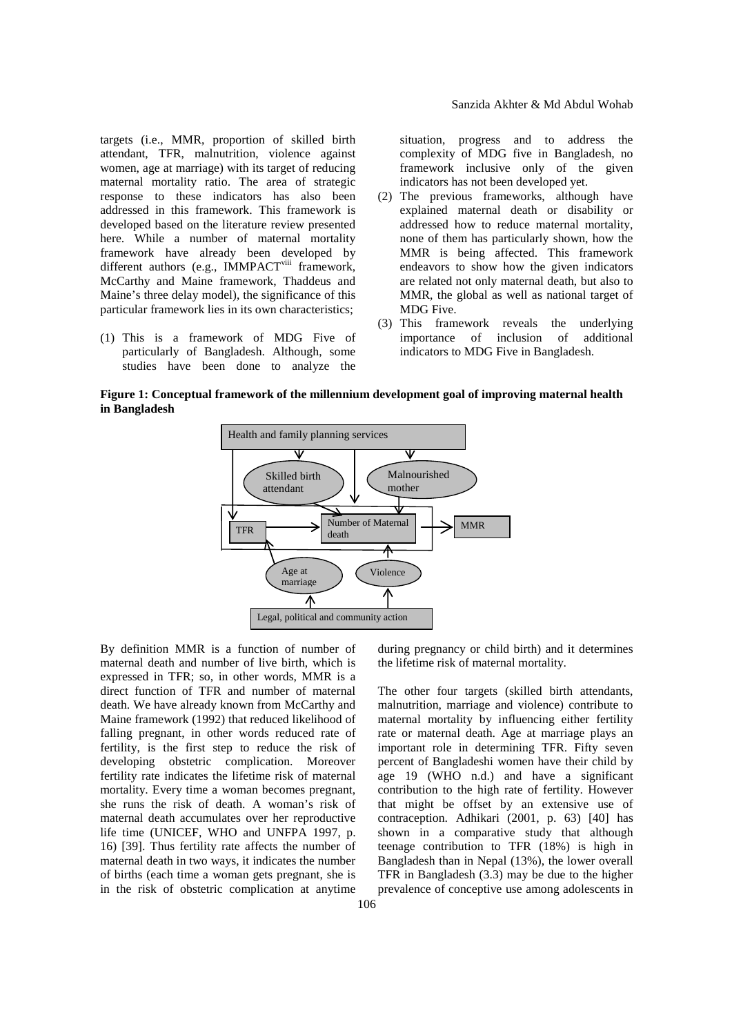targets (i.e., MMR, proportion of skilled birth attendant, TFR, malnutrition, violence against women, age at marriage) with its target of reducing maternal mortality ratio. The area of strategic response to these indicators has also been addressed in this framework. This framework is developed based on the literature review presented here. While a number of maternal mortality framework have already been developed by different authors (e.g., IMMPACT<sup>viii</sup> framework, McCarthy and Maine framework, Thaddeus and Maine's three delay model), the significance of this particular framework lies in its own characteristics;

(1) This is a framework of MDG Five of particularly of Bangladesh. Although, some studies have been done to analyze the

situation, progress and to address the complexity of MDG five in Bangladesh, no framework inclusive only of the given indicators has not been developed yet.

- (2) The previous frameworks, although have explained maternal death or disability or addressed how to reduce maternal mortality, none of them has particularly shown, how the MMR is being affected. This framework endeavors to show how the given indicators are related not only maternal death, but also to MMR, the global as well as national target of MDG Five.
- (3) This framework reveals the underlying importance of inclusion of additional indicators to MDG Five in Bangladesh.

**Figure 1: Conceptual framework of the millennium development goal of improving maternal health in Bangladesh**



By definition MMR is a function of number of maternal death and number of live birth, which is expressed in TFR; so, in other words, MMR is a direct function of TFR and number of maternal death. We have already known from McCarthy and Maine framework (1992) that reduced likelihood of falling pregnant, in other words reduced rate of fertility, is the first step to reduce the risk of developing obstetric complication. Moreover fertility rate indicates the lifetime risk of maternal mortality. Every time a woman becomes pregnant, she runs the risk of death. A woman's risk of maternal death accumulates over her reproductive life time (UNICEF, WHO and UNFPA 1997, p. 16) [39]. Thus fertility rate affects the number of maternal death in two ways, it indicates the number of births (each time a woman gets pregnant, she is in the risk of obstetric complication at anytime

during pregnancy or child birth) and it determines the lifetime risk of maternal mortality.

The other four targets (skilled birth attendants, malnutrition, marriage and violence) contribute to maternal mortality by influencing either fertility rate or maternal death. Age at marriage plays an important role in determining TFR. Fifty seven percent of Bangladeshi women have their child by age 19 (WHO n.d.) and have a significant contribution to the high rate of fertility. However that might be offset by an extensive use of contraception. Adhikari (2001, p. 63) [40] has shown in a comparative study that although teenage contribution to TFR (18%) is high in Bangladesh than in Nepal (13%), the lower overall TFR in Bangladesh (3.3) may be due to the higher prevalence of conceptive use among adolescents in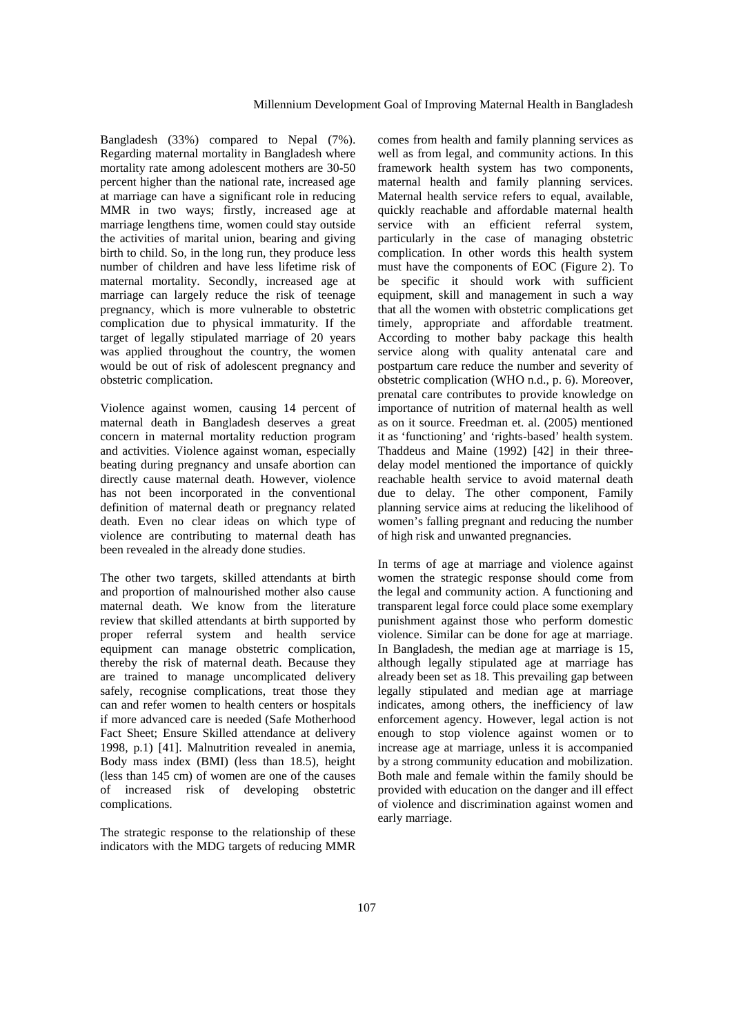Bangladesh (33%) compared to Nepal (7%). Regarding maternal mortality in Bangladesh where mortality rate among adolescent mothers are 30-50 percent higher than the national rate, increased age at marriage can have a significant role in reducing MMR in two ways; firstly, increased age at marriage lengthens time, women could stay outside the activities of marital union, bearing and giving birth to child. So, in the long run, they produce less number of children and have less lifetime risk of maternal mortality. Secondly, increased age at marriage can largely reduce the risk of teenage pregnancy, which is more vulnerable to obstetric complication due to physical immaturity. If the target of legally stipulated marriage of 20 years was applied throughout the country, the women would be out of risk of adolescent pregnancy and obstetric complication.

Violence against women, causing 14 percent of maternal death in Bangladesh deserves a great concern in maternal mortality reduction program and activities. Violence against woman, especially beating during pregnancy and unsafe abortion can directly cause maternal death. However, violence has not been incorporated in the conventional definition of maternal death or pregnancy related death. Even no clear ideas on which type of violence are contributing to maternal death has been revealed in the already done studies.

The other two targets, skilled attendants at birth and proportion of malnourished mother also cause maternal death. We know from the literature review that skilled attendants at birth supported by proper referral system and health service equipment can manage obstetric complication, thereby the risk of maternal death. Because they are trained to manage uncomplicated delivery safely, recognise complications, treat those they can and refer women to health centers or hospitals if more advanced care is needed (Safe Motherhood Fact Sheet; Ensure Skilled attendance at delivery 1998, p.1) [41]. Malnutrition revealed in anemia, Body mass index (BMI) (less than 18.5), height (less than 145 cm) of women are one of the causes of increased risk of developing obstetric complications.

The strategic response to the relationship of these indicators with the MDG targets of reducing MMR comes from health and family planning services as well as from legal, and community actions. In this framework health system has two components, maternal health and family planning services. Maternal health service refers to equal, available, quickly reachable and affordable maternal health service with an efficient referral system, particularly in the case of managing obstetric complication. In other words this health system must have the components of EOC (Figure 2). To be specific it should work with sufficient equipment, skill and management in such a way that all the women with obstetric complications get timely, appropriate and affordable treatment. According to mother baby package this health service along with quality antenatal care and postpartum care reduce the number and severity of obstetric complication (WHO n.d., p. 6). Moreover, prenatal care contributes to provide knowledge on importance of nutrition of maternal health as well as on it source. Freedman et. al. (2005) mentioned it as 'functioning' and 'rights-based' health system. Thaddeus and Maine (1992) [42] in their threedelay model mentioned the importance of quickly reachable health service to avoid maternal death due to delay. The other component, Family planning service aims at reducing the likelihood of women's falling pregnant and reducing the number of high risk and unwanted pregnancies.

In terms of age at marriage and violence against women the strategic response should come from the legal and community action. A functioning and transparent legal force could place some exemplary punishment against those who perform domestic violence. Similar can be done for age at marriage. In Bangladesh, the median age at marriage is 15, although legally stipulated age at marriage has already been set as 18. This prevailing gap between legally stipulated and median age at marriage indicates, among others, the inefficiency of law enforcement agency. However, legal action is not enough to stop violence against women or to increase age at marriage, unless it is accompanied by a strong community education and mobilization. Both male and female within the family should be provided with education on the danger and ill effect of violence and discrimination against women and early marriage.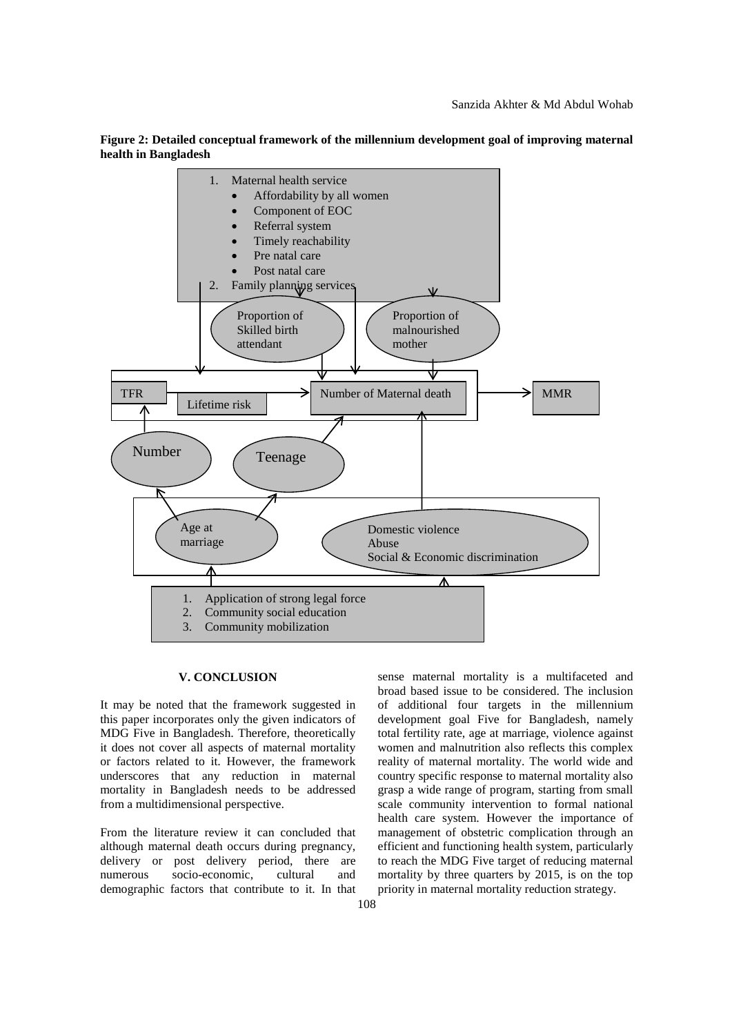**Figure 2: Detailed conceptual framework of the millennium development goal of improving maternal health in Bangladesh**



#### **V. CONCLUSION**

It may be noted that the framework suggested in this paper incorporates only the given indicators of MDG Five in Bangladesh. Therefore, theoretically it does not cover all aspects of maternal mortality or factors related to it. However, the framework underscores that any reduction in maternal mortality in Bangladesh needs to be addressed from a multidimensional perspective.

From the literature review it can concluded that although maternal death occurs during pregnancy, delivery or post delivery period, there are numerous socio-economic, cultural and demographic factors that contribute to it. In that

sense maternal mortality is a multifaceted and broad based issue to be considered. The inclusion of additional four targets in the millennium development goal Five for Bangladesh, namely total fertility rate, age at marriage, violence against women and malnutrition also reflects this complex reality of maternal mortality. The world wide and country specific response to maternal mortality also grasp a wide range of program, starting from small scale community intervention to formal national health care system. However the importance of management of obstetric complication through an efficient and functioning health system, particularly to reach the MDG Five target of reducing maternal mortality by three quarters by 2015, is on the top priority in maternal mortality reduction strategy.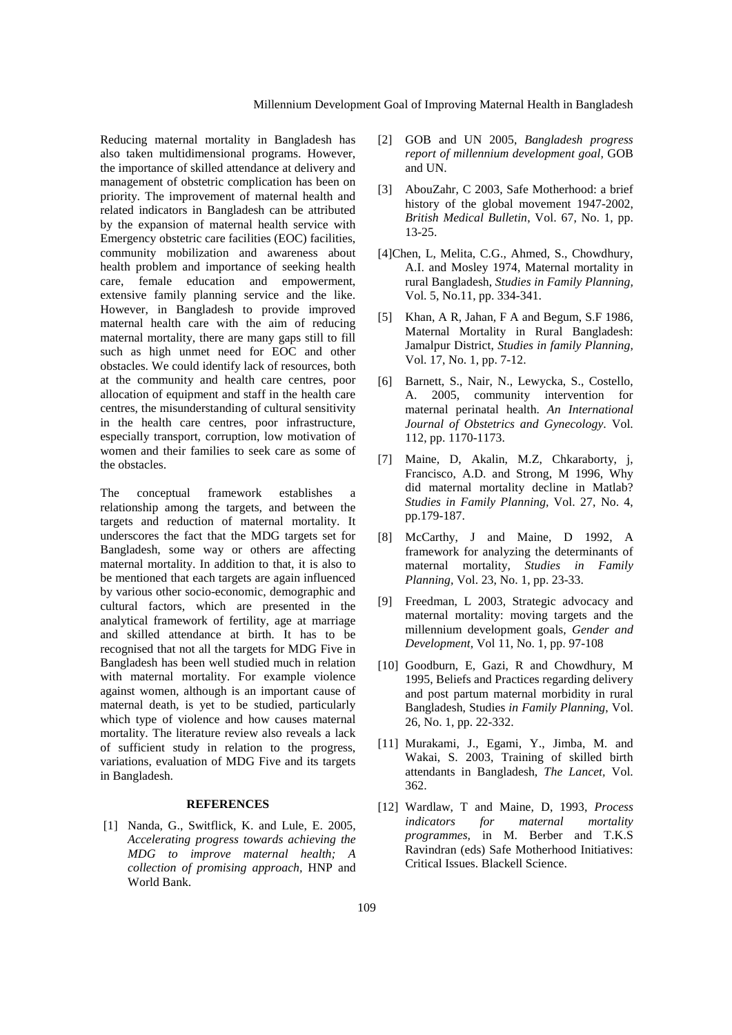Reducing maternal mortality in Bangladesh has also taken multidimensional programs. However, the importance of skilled attendance at delivery and management of obstetric complication has been on priority. The improvement of maternal health and related indicators in Bangladesh can be attributed by the expansion of maternal health service with Emergency obstetric care facilities (EOC) facilities, community mobilization and awareness about health problem and importance of seeking health care, female education and empowerment, extensive family planning service and the like. However, in Bangladesh to provide improved maternal health care with the aim of reducing maternal mortality, there are many gaps still to fill such as high unmet need for EOC and other obstacles. We could identify lack of resources, both at the community and health care centres, poor allocation of equipment and staff in the health care centres, the misunderstanding of cultural sensitivity in the health care centres, poor infrastructure, especially transport, corruption, low motivation of women and their families to seek care as some of the obstacles.

The conceptual framework establishes a relationship among the targets, and between the targets and reduction of maternal mortality. It underscores the fact that the MDG targets set for Bangladesh, some way or others are affecting maternal mortality. In addition to that, it is also to be mentioned that each targets are again influenced by various other socio-economic, demographic and cultural factors, which are presented in the analytical framework of fertility, age at marriage and skilled attendance at birth. It has to be recognised that not all the targets for MDG Five in Bangladesh has been well studied much in relation with maternal mortality. For example violence against women, although is an important cause of maternal death, is yet to be studied, particularly which type of violence and how causes maternal mortality. The literature review also reveals a lack of sufficient study in relation to the progress, variations, evaluation of MDG Five and its targets in Bangladesh.

#### **REFERENCES**

[1] Nanda, G., Switflick, K. and Lule, E. 2005, *Accelerating progress towards achieving the MDG to improve maternal health; A collection of promising approach,* HNP and World Bank.

- [2] GOB and UN 2005, *Bangladesh progress report of millennium development goal,* GOB and UN.
- [3] AbouZahr, C 2003, Safe Motherhood: a brief history of the global movement 1947-2002, *British Medical Bulletin*, Vol. 67, No. 1, pp. 13-25.
- [4]Chen, L, Melita, C.G., Ahmed, S., Chowdhury, A.I. and Mosley 1974, Maternal mortality in rural Bangladesh, *Studies in Family Planning,*  Vol. 5, No.11, pp. 334-341.
- [5] Khan, A R, Jahan, F A and Begum, S.F 1986, Maternal Mortality in Rural Bangladesh: Jamalpur District, *Studies in family Planning,*  Vol. 17, No. 1, pp. 7-12.
- [6] Barnett, S., Nair, N., Lewycka, S., Costello, A. 2005, community intervention for maternal perinatal health. *An International Journal of Obstetrics and Gynecology*. Vol. 112, pp. 1170-1173.
- [7] Maine, D, Akalin, M.Z, Chkaraborty, j, Francisco, A.D. and Strong, M 1996, Why did maternal mortality decline in Matlab? *Studies in Family Planning,* Vol. 27, No. 4, pp.179-187.
- [8] McCarthy, J and Maine, D 1992, A framework for analyzing the determinants of maternal mortality, *Studies in Family Planning,* Vol. 23, No. 1, pp. 23-33.
- [9] Freedman, L 2003, Strategic advocacy and maternal mortality: moving targets and the millennium development goals, *Gender and Development,* Vol 11, No. 1, pp. 97-108
- [10] Goodburn, E, Gazi, R and Chowdhury, M 1995, Beliefs and Practices regarding delivery and post partum maternal morbidity in rural Bangladesh, Studies *in Family Planning*, Vol. 26, No. 1, pp. 22-332.
- [11] Murakami, J., Egami, Y., Jimba, M. and Wakai, S. 2003, Training of skilled birth attendants in Bangladesh, *The Lancet,* Vol. 362.
- [12] Wardlaw, T and Maine, D, 1993, *Process indicators for maternal mortality programmes,* in M. Berber and T.K.S Ravindran (eds) Safe Motherhood Initiatives: Critical Issues. Blackell Science.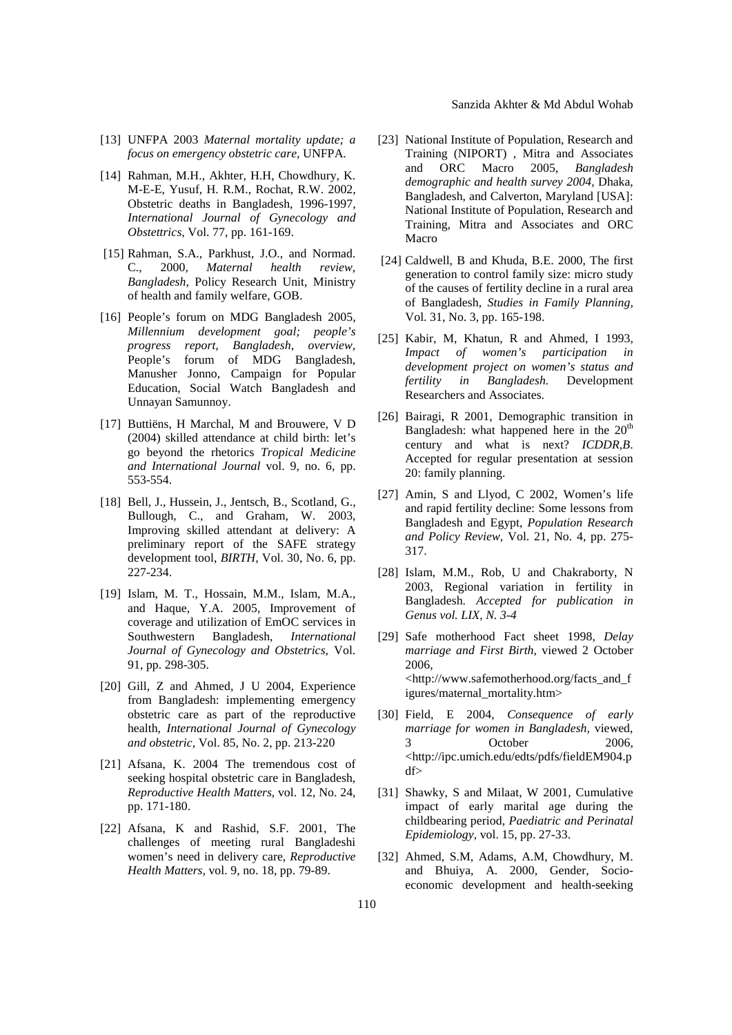- [13] UNFPA 2003 *Maternal mortality update; a focus on emergency obstetric care,* UNFPA.
- [14] Rahman, M.H., Akhter, H.H, Chowdhury, K. M-E-E, Yusuf, H. R.M., Rochat, R.W. 2002, Obstetric deaths in Bangladesh, 1996-1997, *International Journal of Gynecology and Obstettrics,* Vol. 77, pp. 161-169.
- [15] Rahman, S.A., Parkhust, J.O., and Normad. C., 2000, *Maternal health review, Bangladesh*, Policy Research Unit, Ministry of health and family welfare, GOB.
- [16] People's forum on MDG Bangladesh 2005, *Millennium development goal; people's progress report, Bangladesh, overview,* People's forum of MDG Bangladesh, Manusher Jonno, Campaign for Popular Education, Social Watch Bangladesh and Unnayan Samunnoy.
- [17] Buttiëns, H Marchal, M and Brouwere, V D (2004) skilled attendance at child birth: let's go beyond the rhetorics *Tropical Medicine and International Journal* vol. 9, no. 6, pp. 553-554.
- [18] Bell, J., Hussein, J., Jentsch, B., Scotland, G., Bullough, C., and Graham, W. 2003, Improving skilled attendant at delivery: A preliminary report of the SAFE strategy development tool, *BIRTH,* Vol. 30, No. 6, pp. 227-234.
- [19] Islam, M. T., Hossain, M.M., Islam, M.A., and Haque, Y.A. 2005, Improvement of coverage and utilization of EmOC services in Southwestern Bangladesh, *International Journal of Gynecology and Obstetrics*, Vol. 91, pp. 298-305.
- [20] Gill, Z and Ahmed, J U 2004, Experience from Bangladesh: implementing emergency obstetric care as part of the reproductive health, *International Journal of Gynecology and obstetric,* Vol. 85, No. 2, pp. 213-220
- [21] Afsana, K. 2004 The tremendous cost of seeking hospital obstetric care in Bangladesh, *Reproductive Health Matters*, vol. 12, No. 24, pp. 171-180.
- [22] Afsana, K and Rashid, S.F. 2001, The challenges of meeting rural Bangladeshi women's need in delivery care, *Reproductive Health Matters,* vol. 9, no. 18, pp. 79-89.
- [23] National Institute of Population, Research and Training (NIPORT) , Mitra and Associates and ORC Macro 2005, *Bangladesh demographic and health survey 2004,* Dhaka, Bangladesh, and Calverton, Maryland [USA]: National Institute of Population, Research and Training, Mitra and Associates and ORC Macro
- [24] Caldwell, B and Khuda, B.E. 2000, The first generation to control family size: micro study of the causes of fertility decline in a rural area of Bangladesh, *Studies in Family Planning,*  Vol. 31, No. 3, pp. 165-198.
- [25] Kabir, M, Khatun, R and Ahmed, I 1993, *Impact of women's participation in development project on women's status and fertility in Bangladesh.* Development Researchers and Associates.
- [26] Bairagi, R 2001, Demographic transition in Bangladesh: what happened here in the  $20<sup>th</sup>$ century and what is next? *ICDDR,B*. Accepted for regular presentation at session 20: family planning.
- [27] Amin, S and Llyod, C 2002, Women's life and rapid fertility decline: Some lessons from Bangladesh and Egypt, *Population Research and Policy Review,* Vol. 21, No. 4, pp. 275- 317.
- [28] Islam, M.M., Rob, U and Chakraborty, N 2003, Regional variation in fertility in Bangladesh. *Accepted for publication in Genus vol. LIX, N. 3-4*
- [29] Safe motherhood Fact sheet 1998, *Delay marriage and First Birth,* viewed 2 October 2006, <http://www.safemotherhood.org/facts\_and\_f igures/maternal\_mortality.htm>
- [30] Field, E 2004, *Consequence of early marriage for women in Bangladesh,* viewed, 3 October 2006, [<http://ipc.umich.edu/edts/pdfs/fieldEM904.p](http://ipc.umich.edu/edts/pdfs/fieldEM904.pd) [df](http://ipc.umich.edu/edts/pdfs/fieldEM904.pd)>
- [31] Shawky, S and Milaat, W 2001, Cumulative impact of early marital age during the childbearing period, *Paediatric and Perinatal Epidemiology,* vol. 15, pp. 27-33.
- [32] Ahmed, S.M, Adams, A.M, Chowdhury, M. and Bhuiya, A. 2000, Gender, Socioeconomic development and health-seeking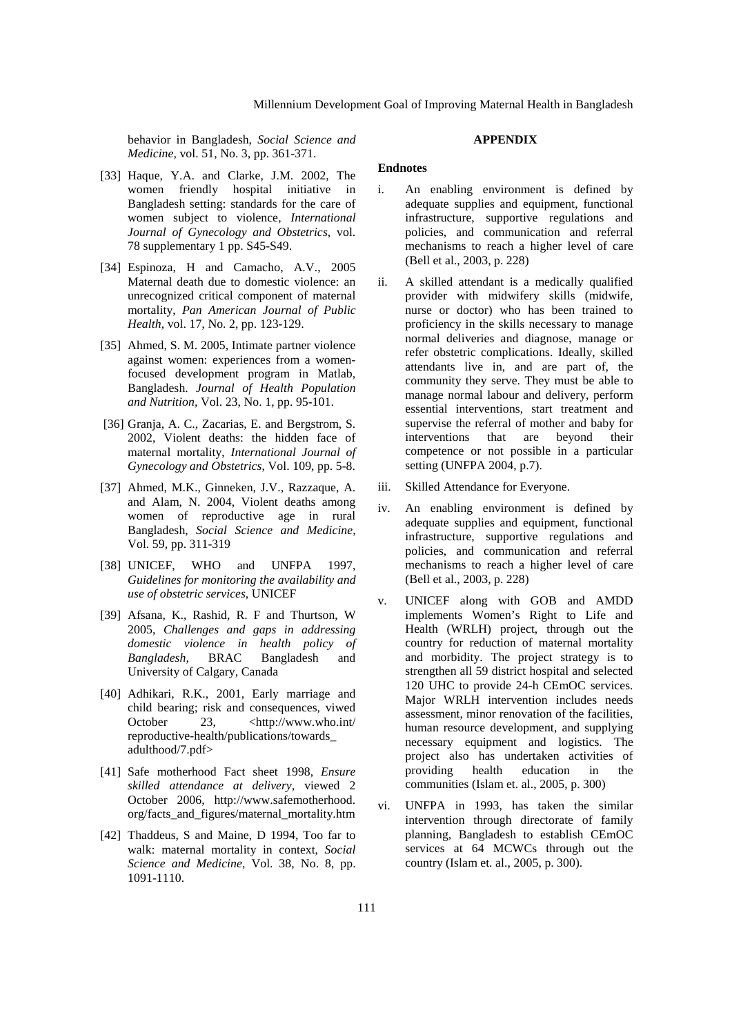behavior in Bangladesh, *Social Science and Medicine,* vol. 51, No. 3, pp. 361-371.

### **APPENDIX**

## **Endnotes**

- [33] Haque, Y.A. and Clarke, J.M. 2002, The women friendly hospital initiative in Bangladesh setting: standards for the care of women subject to violence, *International Journal of Gynecology and Obstetrics*, vol. 78 supplementary 1 pp. S45-S49.
- [34] Espinoza, H and Camacho, A.V., 2005 Maternal death due to domestic violence: an unrecognized critical component of maternal mortality, *Pan American Journal of Public Health,* vol. 17, No. 2, pp. 123-129.
- [35] Ahmed, S. M. 2005, Intimate partner violence against women: experiences from a womenfocused development program in Matlab, Bangladesh. *Journal of Health Population and Nutrition,* Vol. 23, No. 1, pp. 95-101.
- [36] Granja, A. C., Zacarias, E. and Bergstrom, S. 2002, Violent deaths: the hidden face of maternal mortality, *International Journal of Gynecology and Obstetrics*, Vol. 109, pp. 5-8.
- [37] Ahmed, M.K., Ginneken, J.V., Razzaque, A. and Alam, N. 2004, Violent deaths among women of reproductive age in rural Bangladesh, *Social Science and Medicine,*  Vol. 59, pp. 311-319
- [38] UNICEF, WHO and UNFPA 1997, *Guidelines for monitoring the availability and use of obstetric services,* UNICEF
- [39] Afsana, K., Rashid, R. F and Thurtson, W 2005, *Challenges and gaps in addressing domestic violence in health policy of Bangladesh,* BRAC Bangladesh and University of Calgary, Canada
- [40] Adhikari, R.K., 2001, Early marriage and child bearing; risk and consequences, viwed October 23,  $\langle \text{http://www.who.int/}$ [reproductive-health/publications/towards\\_](http://www.who.int/%20reproductive-health/publications/towards_%20adulthood/7.pdf)  [adulthood/7.pdf>](http://www.who.int/%20reproductive-health/publications/towards_%20adulthood/7.pdf)
- [41] Safe motherhood Fact sheet 1998, *Ensure skilled attendance at delivery,* viewed 2 October 2006, http://www.safemotherhood. org/facts\_and\_figures/maternal\_mortality.htm
- [42] Thaddeus, S and Maine, D 1994, Too far to walk: maternal mortality in context, *Social Science and Medicine,* Vol. 38, No. 8, pp. 1091-1110.
- i. An enabling environment is defined by adequate supplies and equipment, functional infrastructure, supportive regulations and policies, and communication and referral mechanisms to reach a higher level of care (Bell et al., 2003, p. 228)
- ii. A skilled attendant is a medically qualified provider with midwifery skills (midwife, nurse or doctor) who has been trained to proficiency in the skills necessary to manage normal deliveries and diagnose, manage or refer obstetric complications. Ideally, skilled attendants live in, and are part of, the community they serve. They must be able to manage normal labour and delivery, perform essential interventions, start treatment and supervise the referral of mother and baby for interventions that are beyond their competence or not possible in a particular setting (UNFPA 2004, p.7).
- iii. Skilled Attendance for Everyone.
- iv. An enabling environment is defined by adequate supplies and equipment, functional infrastructure, supportive regulations and policies, and communication and referral mechanisms to reach a higher level of care (Bell et al., 2003, p. 228)
- v. UNICEF along with GOB and AMDD implements Women's Right to Life and Health (WRLH) project, through out the country for reduction of maternal mortality and morbidity. The project strategy is to strengthen all 59 district hospital and selected 120 UHC to provide 24-h CEmOC services. Major WRLH intervention includes needs assessment, minor renovation of the facilities, human resource development, and supplying necessary equipment and logistics. The project also has undertaken activities of providing health education in the communities (Islam et. al., 2005, p. 300)
- vi. UNFPA in 1993, has taken the similar intervention through directorate of family planning, Bangladesh to establish CEmOC services at 64 MCWCs through out the country (Islam et. al., 2005, p. 300).